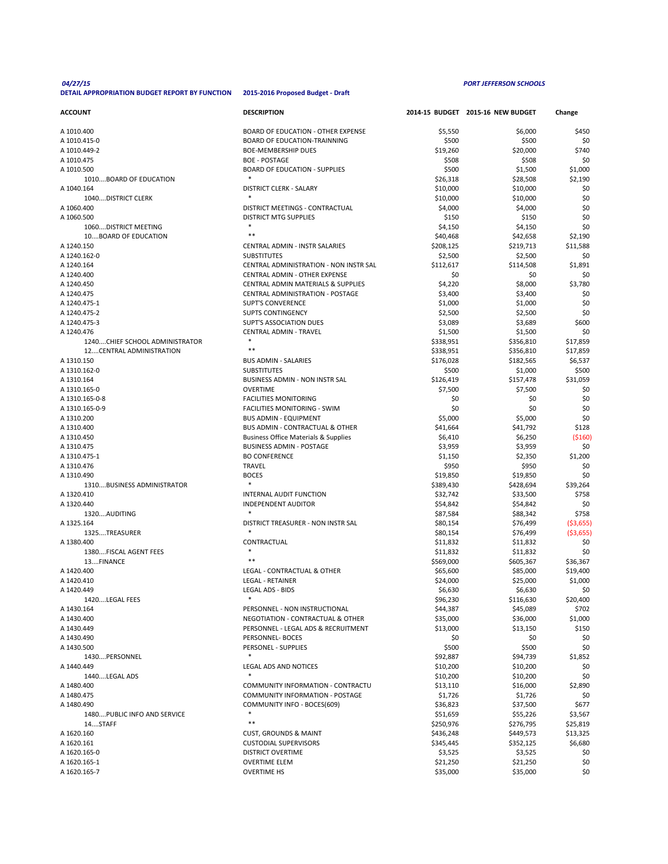## *04/27/15 PORT JEFFERSON SCHOOLS*

## **DETAIL APPROPRIATION BUDGET REPORT BY FUNCTION 2015-2016 Proposed Budget - Draft**

| <b>ACCOUNT</b>                  | <b>DESCRIPTION</b>                              |           | 2014-15 BUDGET 2015-16 NEW BUDGET | Change     |
|---------------------------------|-------------------------------------------------|-----------|-----------------------------------|------------|
| A 1010.400                      | <b>BOARD OF EDUCATION - OTHER EXPENSE</b>       | \$5,550   | \$6,000                           | \$450      |
| A 1010.415-0                    | <b>BOARD OF EDUCATION-TRAINNING</b>             | \$500     | \$500                             | \$0        |
| A 1010.449-2                    | <b>BOE-MEMBERSHIP DUES</b>                      | \$19,260  | \$20,000                          | \$740      |
|                                 | <b>BOE - POSTAGE</b>                            |           |                                   |            |
| A 1010.475                      |                                                 | \$508     | \$508                             | \$0        |
| A 1010.500                      | <b>BOARD OF EDUCATION - SUPPLIES</b>            | \$500     | \$1,500                           | \$1,000    |
| 1010BOARD OF EDUCATION          |                                                 | \$26,318  | \$28,508                          | \$2,190    |
| A 1040.164                      | <b>DISTRICT CLERK - SALARY</b>                  | \$10,000  | \$10,000                          | \$0        |
| 1040DISTRICT CLERK              | $\ast$                                          | \$10,000  | \$10,000                          | \$0        |
| A 1060.400                      | DISTRICT MEETINGS - CONTRACTUAL                 | \$4,000   | \$4,000                           | \$0        |
| A 1060.500                      | <b>DISTRICT MTG SUPPLIES</b>                    | \$150     | \$150                             | \$0        |
| 1060 DISTRICT MEETING           |                                                 | \$4,150   | \$4,150                           | \$0        |
| 10BOARD OF EDUCATION            | $***$                                           | \$40,468  | \$42,658                          | \$2,190    |
| A 1240.150                      | <b>CENTRAL ADMIN - INSTR SALARIES</b>           | \$208,125 | \$219,713                         | \$11,588   |
| A 1240.162-0                    | <b>SUBSTITUTES</b>                              | \$2,500   | \$2,500                           | \$0        |
| A 1240.164                      | <b>CENTRAL ADMINISTRATION - NON INSTR SAL</b>   | \$112,617 | \$114,508                         | \$1,891    |
|                                 |                                                 |           |                                   |            |
| A 1240.400                      | <b>CENTRAL ADMIN - OTHER EXPENSE</b>            | \$0       | \$0                               | \$0        |
| A 1240.450                      | <b>CENTRAL ADMIN MATERIALS &amp; SUPPLIES</b>   | \$4,220   | \$8,000                           | \$3,780    |
| A 1240.475                      | <b>CENTRAL ADMINISTRATION - POSTAGE</b>         | \$3,400   | \$3,400                           | \$0        |
| A 1240.475-1                    | <b>SUPT'S CONVERENCE</b>                        | \$1,000   | \$1,000                           | \$0        |
| A 1240.475-2                    | <b>SUPTS CONTINGENCY</b>                        | \$2,500   | \$2,500                           | \$0        |
| A 1240.475-3                    | <b>SUPT'S ASSOCIATION DUES</b>                  | \$3,089   | \$3,689                           | \$600      |
| A 1240.476                      | <b>CENTRAL ADMIN - TRAVEL</b>                   | \$1,500   | \$1,500                           | \$0        |
| 1240 CHIEF SCHOOL ADMINISTRATOR | $\ast$                                          | \$338,951 | \$356,810                         | \$17,859   |
| 12CENTRAL ADMINISTRATION        | $***$                                           | \$338,951 | \$356,810                         | \$17,859   |
| A 1310.150                      | <b>BUS ADMIN - SALARIES</b>                     | \$176,028 | \$182,565                         | \$6,537    |
|                                 |                                                 |           |                                   |            |
| A 1310.162-0                    | <b>SUBSTITUTES</b>                              | \$500     | \$1,000                           | \$500      |
| A 1310.164                      | <b>BUSINESS ADMIN - NON INSTR SAL</b>           | \$126,419 | \$157,478                         | \$31,059   |
| A 1310.165-0                    | <b>OVERTIME</b>                                 | \$7,500   | \$7,500                           | \$0        |
| A 1310.165-0-8                  | <b>FACILITIES MONITORING</b>                    | \$0       | \$0                               | \$0        |
| A 1310.165-0-9                  | FACILITIES MONITORING - SWIM                    | \$0       | \$0                               | \$0        |
| A 1310.200                      | <b>BUS ADMIN - EQUIPMENT</b>                    | \$5,000   | \$5,000                           | \$0        |
| A 1310.400                      | <b>BUS ADMIN - CONTRACTUAL &amp; OTHER</b>      | \$41,664  | \$41,792                          | \$128      |
| A 1310.450                      | <b>Business Office Materials &amp; Supplies</b> | \$6,410   | \$6,250                           | (5160)     |
| A 1310.475                      | <b>BUSINESS ADMIN - POSTAGE</b>                 | \$3,959   | \$3,959                           | \$0        |
| A 1310.475-1                    | <b>BO CONFERENCE</b>                            | \$1,150   | \$2,350                           | \$1,200    |
| A 1310.476                      | <b>TRAVEL</b>                                   | \$950     | \$950                             | \$0        |
| A 1310.490                      |                                                 |           |                                   |            |
|                                 | <b>BOCES</b>                                    | \$19,850  | \$19,850                          | \$0        |
| 1310BUSINESS ADMINISTRATOR      |                                                 | \$389,430 | \$428,694                         | \$39,264   |
| A 1320.410                      | <b>INTERNAL AUDIT FUNCTION</b>                  | \$32,742  | \$33,500                          | \$758      |
| A 1320.440                      | <b>INDEPENDENT AUDITOR</b>                      | \$54,842  | \$54,842                          | \$0        |
| 1320AUDITING                    | $\ast$                                          | \$87,584  | \$88,342                          | \$758      |
| A 1325.164                      | DISTRICT TREASURER - NON INSTR SAL              | \$80,154  | \$76,499                          | ( \$3,655) |
| 1325TREASURER                   |                                                 | \$80,154  | \$76,499                          | ( \$3,655) |
| A 1380.400                      | CONTRACTUAL                                     | \$11,832  | \$11,832                          | \$0        |
| 1380FISCAL AGENT FEES           |                                                 | \$11,832  | \$11,832                          | \$0        |
| 13FINANCE                       | $* *$                                           | \$569,000 | \$605,367                         | \$36,367   |
| A 1420.400                      | LEGAL - CONTRACTUAL & OTHER                     | \$65,600  | \$85,000                          | \$19,400   |
|                                 | <b>LEGAL - RETAINER</b>                         |           |                                   |            |
| A 1420.410                      |                                                 | \$24,000  | \$25,000                          | \$1,000    |
| A 1420.449                      | <b>LEGAL ADS - BIDS</b><br>$\ast$               | \$6,630   | \$6,630                           | \$0        |
| 1420LEGAL FEES                  |                                                 | \$96,230  | \$116,630                         | \$20,400   |
| A 1430.164                      | PERSONNEL - NON INSTRUCTIONAL                   | \$44,387  | \$45,089                          | \$702      |
| A 1430.400                      | <b>NEGOTIATION - CONTRACTUAL &amp; OTHER</b>    | \$35,000  | \$36,000                          | \$1,000    |
| A 1430.449                      | PERSONNEL - LEGAL ADS & RECRUITMENT             | \$13,000  | \$13,150                          | \$150      |
| A 1430.490                      | PERSONNEL- BOCES                                | \$0       | \$0                               | \$0        |
| A 1430.500                      | PERSONEL - SUPPLIES                             | \$500     | \$500                             | \$0        |
| 1430PERSONNEL                   | $\ast$                                          | \$92,887  | \$94,739                          | \$1,852    |
| A 1440.449                      | <b>LEGAL ADS AND NOTICES</b>                    | \$10,200  | \$10,200                          | \$0        |
| 1440LEGAL ADS                   |                                                 | \$10,200  | \$10,200                          | \$0        |
|                                 | COMMUNITY INFORMATION - CONTRACTU               |           |                                   |            |
| A 1480.400                      |                                                 | \$13,110  | \$16,000                          | \$2,890    |
| A 1480.475                      | <b>COMMUNITY INFORMATION - POSTAGE</b>          | \$1,726   | \$1,726                           | \$0        |
| A 1480.490                      | COMMUNITY INFO - BOCES(609)                     | \$36,823  | \$37,500                          | \$677      |
| 1480 PUBLIC INFO AND SERVICE    | ∗                                               | \$51,659  | \$55,226                          | \$3,567    |
| 14STAFF                         | $***$                                           | \$250,976 | \$276,795                         | \$25,819   |
| A 1620.160                      | <b>CUST, GROUNDS &amp; MAINT</b>                | \$436,248 | \$449,573                         | \$13,325   |
| A 1620.161                      | <b>CUSTODIAL SUPERVISORS</b>                    | \$345,445 | \$352,125                         | \$6,680    |
| A 1620.165-0                    | <b>DISTRICT OVERTIME</b>                        | \$3,525   | \$3,525                           | \$0        |
| A 1620.165-1                    | <b>OVERTIME ELEM</b>                            | \$21,250  | \$21,250                          | \$0        |
| A 1620.165-7                    | <b>OVERTIME HS</b>                              | \$35,000  | \$35,000                          | \$0        |
|                                 |                                                 |           |                                   |            |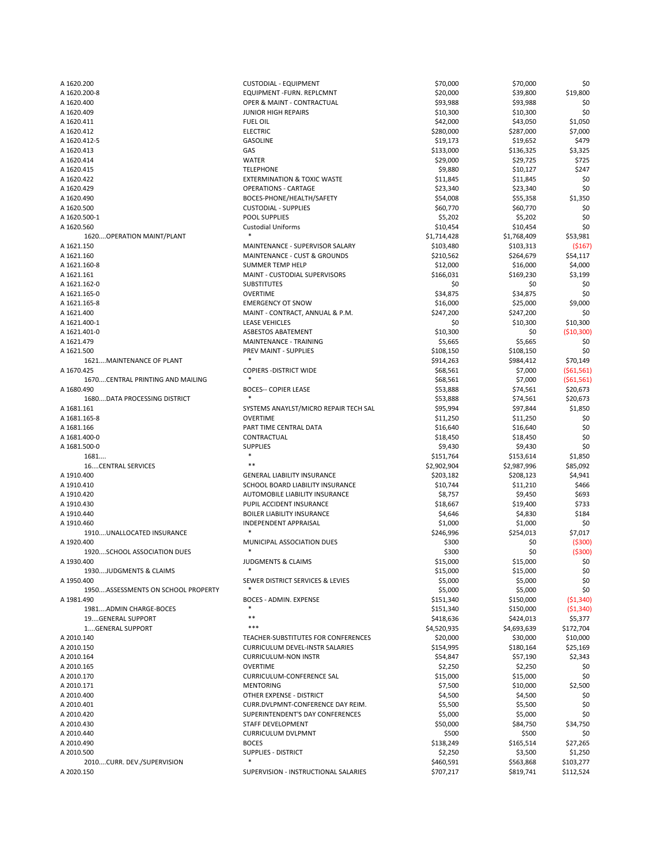| A 1620.200                         | <b>CUSTODIAL - EQUIPMENT</b>             | \$70,000    | \$70,000    | \$0          |
|------------------------------------|------------------------------------------|-------------|-------------|--------------|
| A 1620.200-8                       | <b>EQUIPMENT-FURN. REPLCMNT</b>          | \$20,000    | \$39,800    | \$19,800     |
| A 1620.400                         | <b>OPER &amp; MAINT - CONTRACTUAL</b>    | \$93,988    | \$93,988    | \$0          |
| A 1620.409                         | <b>JUNIOR HIGH REPAIRS</b>               |             |             | \$0          |
|                                    |                                          | \$10,300    | \$10,300    |              |
| A 1620.411                         | <b>FUEL OIL</b>                          | \$42,000    | \$43,050    | \$1,050      |
| A 1620.412                         | <b>ELECTRIC</b>                          | \$280,000   | \$287,000   | \$7,000      |
| A 1620.412-5                       | <b>GASOLINE</b>                          | \$19,173    | \$19,652    | \$479        |
| A 1620.413                         | GAS                                      | \$133,000   | \$136,325   | \$3,325      |
| A 1620.414                         | <b>WATER</b>                             | \$29,000    | \$29,725    | \$725        |
| A 1620.415                         | <b>TELEPHONE</b>                         | \$9,880     | \$10,127    | \$247        |
|                                    |                                          |             |             |              |
| A 1620.422                         | <b>EXTERMINATION &amp; TOXIC WASTE</b>   | \$11,845    | \$11,845    | \$0          |
| A 1620.429                         | <b>OPERATIONS - CARTAGE</b>              | \$23,340    | \$23,340    | \$0          |
| A 1620.490                         | BOCES-PHONE/HEALTH/SAFETY                | \$54,008    | \$55,358    | \$1,350      |
| A 1620.500                         | <b>CUSTODIAL - SUPPLIES</b>              | \$60,770    | \$60,770    | \$0          |
| A 1620.500-1                       | <b>POOL SUPPLIES</b>                     | \$5,202     | \$5,202     | \$0          |
| A 1620.560                         | <b>Custodial Uniforms</b>                | \$10,454    | \$10,454    | \$0          |
| 1620 OPERATION MAINT/PLANT         |                                          | \$1,714,428 | \$1,768,409 | \$53,981     |
|                                    |                                          |             |             |              |
| A 1621.150                         | MAINTENANCE - SUPERVISOR SALARY          | \$103,480   | \$103,313   | (5167)       |
| A 1621.160                         | <b>MAINTENANCE - CUST &amp; GROUNDS</b>  | \$210,562   | \$264,679   | \$54,117     |
| A 1621.160-8                       | <b>SUMMER TEMP HELP</b>                  | \$12,000    | \$16,000    | \$4,000      |
| A 1621.161                         | MAINT - CUSTODIAL SUPERVISORS            | \$166,031   | \$169,230   | \$3,199      |
| A 1621.162-0                       | <b>SUBSTITUTES</b>                       | \$0         | \$0         | \$0          |
| A 1621.165-0                       | <b>OVERTIME</b>                          | \$34,875    | \$34,875    | \$0          |
|                                    | <b>EMERGENCY OT SNOW</b>                 |             |             |              |
| A 1621.165-8                       |                                          | \$16,000    | \$25,000    | \$9,000      |
| A 1621.400                         | MAINT - CONTRACT, ANNUAL & P.M.          | \$247,200   | \$247,200   | \$0          |
| A 1621.400-1                       | <b>LEASE VEHICLES</b>                    | \$0         | \$10,300    | \$10,300     |
| A 1621.401-0                       | <b>ASBESTOS ABATEMENT</b>                | \$10,300    | \$0         | ( \$10, 300) |
| A 1621.479                         | MAINTENANCE - TRAINING                   | \$5,665     | \$5,665     | \$0          |
| A 1621.500                         | PREV MAINT - SUPPLIES                    | \$108,150   | \$108,150   | \$0          |
| 1621 MAINTENANCE OF PLANT          |                                          | \$914,263   | \$984,412   | \$70,149     |
|                                    |                                          |             |             |              |
| A 1670.425                         | <b>COPIERS - DISTRICT WIDE</b>           | \$68,561    | \$7,000     | (561, 561)   |
| 1670CENTRAL PRINTING AND MAILING   |                                          | \$68,561    | \$7,000     | (561, 561)   |
| A 1680.490                         | <b>BOCES-- COPIER LEASE</b>              | \$53,888    | \$74,561    | \$20,673     |
| 1680 DATA PROCESSING DISTRICT      | $\ast$                                   | \$53,888    | \$74,561    | \$20,673     |
| A 1681.161                         | SYSTEMS ANAYLST/MICRO REPAIR TECH SAL    | \$95,994    | \$97,844    | \$1,850      |
| A 1681.165-8                       | <b>OVERTIME</b>                          | \$11,250    | \$11,250    | \$0          |
|                                    |                                          |             |             |              |
| A 1681.166                         | PART TIME CENTRAL DATA                   | \$16,640    | \$16,640    | \$0          |
| A 1681.400-0                       | CONTRACTUAL                              | \$18,450    | \$18,450    | \$0          |
| A 1681.500-0                       | <b>SUPPLIES</b>                          | \$9,430     | \$9,430     | \$0          |
| 1681                               |                                          | \$151,764   | \$153,614   | \$1,850      |
| <b>16CENTRAL SERVICES</b>          | $* *$                                    | \$2,902,904 | \$2,987,996 | \$85,092     |
| A 1910.400                         | <b>GENERAL LIABILITY INSURANCE</b>       | \$203,182   | \$208,123   | \$4,941      |
| A 1910.410                         | <b>SCHOOL BOARD LIABILITY INSURANCE</b>  | \$10,744    | \$11,210    | \$466        |
|                                    |                                          |             |             |              |
| A 1910.420                         | <b>AUTOMOBILE LIABILITY INSURANCE</b>    | \$8,757     | \$9,450     | \$693        |
| A 1910.430                         | PUPIL ACCIDENT INSURANCE                 | \$18,667    | \$19,400    | \$733        |
| A 1910.440                         | <b>BOILER LIABILITY INSURANCE</b>        | \$4,646     | \$4,830     | \$184        |
| A 1910.460                         | <b>INDEPENDENT APPRAISAL</b>             | \$1,000     | \$1,000     | \$0          |
| 1910UNALLOCATED INSURANCE          |                                          | \$246,996   | \$254,013   | \$7,017      |
| A 1920.400                         | MUNICIPAL ASSOCIATION DUES               | \$300       | \$0         | (5300)       |
|                                    |                                          |             |             |              |
| 1920SCHOOL ASSOCIATION DUES        |                                          | \$300       | \$0         | ( \$300)     |
| A 1930.400                         | <b>JUDGMENTS &amp; CLAIMS</b>            | \$15,000    | \$15,000    | \$0          |
| 1930JUDGMENTS & CLAIMS             |                                          | \$15,000    | \$15,000    | \$0          |
| A 1950.400                         | SEWER DISTRICT SERVICES & LEVIES         | \$5,000     | \$5,000     | \$0          |
| 1950ASSESSMENTS ON SCHOOL PROPERTY |                                          | \$5,000     | \$5,000     | \$0          |
| A 1981.490                         | <b>BOCES - ADMIN. EXPENSE</b>            | \$151,340   | \$150,000   | (51, 340)    |
| 1981ADMIN CHARGE-BOCES             |                                          | \$151,340   | \$150,000   | ( \$1,340)   |
|                                    | $***$                                    |             |             |              |
| 19GENERAL SUPPORT                  |                                          | \$418,636   | \$424,013   | \$5,377      |
| 1GENERAL SUPPORT                   | ***                                      | \$4,520,935 | \$4,693,639 | \$172,704    |
| A 2010.140                         | TEACHER-SUBSTITUTES FOR CONFERENCES      | \$20,000    | \$30,000    | \$10,000     |
| A 2010.150                         | <b>CURRICULUM DEVEL-INSTR SALARIES</b>   | \$154,995   | \$180,164   | \$25,169     |
| A 2010.164                         | <b>CURRICULUM-NON INSTR</b>              | \$54,847    | \$57,190    | \$2,343      |
| A 2010.165                         | <b>OVERTIME</b>                          | \$2,250     | \$2,250     | \$0          |
|                                    |                                          |             |             |              |
| A 2010.170                         | <b>CURRICULUM-CONFERENCE SAL</b>         | \$15,000    | \$15,000    | \$0          |
| A 2010.171                         | <b>MENTORING</b>                         | \$7,500     | \$10,000    | \$2,500      |
| A 2010.400                         | OTHER EXPENSE - DISTRICT                 | \$4,500     | \$4,500     | \$0          |
| A 2010.401                         | <b>CURR.DVLPMNT-CONFERENCE DAY REIM.</b> | \$5,500     | \$5,500     | \$0          |
| A 2010.420                         |                                          | \$5,000     | \$5,000     | \$0          |
|                                    | SUPERINTENDENT'S DAY CONFERENCES         |             |             |              |
|                                    |                                          |             |             |              |
| A 2010.430                         | STAFF DEVELOPMENT                        | \$50,000    | \$84,750    | \$34,750     |
| A 2010.440                         | <b>CURRICULUM DVLPMNT</b>                | \$500       | \$500       | \$0          |
| A 2010.490                         | <b>BOCES</b>                             | \$138,249   | \$165,514   | \$27,265     |
| A 2010.500                         | <b>SUPPLIES - DISTRICT</b>               | \$2,250     | \$3,500     | \$1,250      |
| 2010CURR. DEV./SUPERVISION         | $\ast$                                   | \$460,591   | \$563,868   | \$103,277    |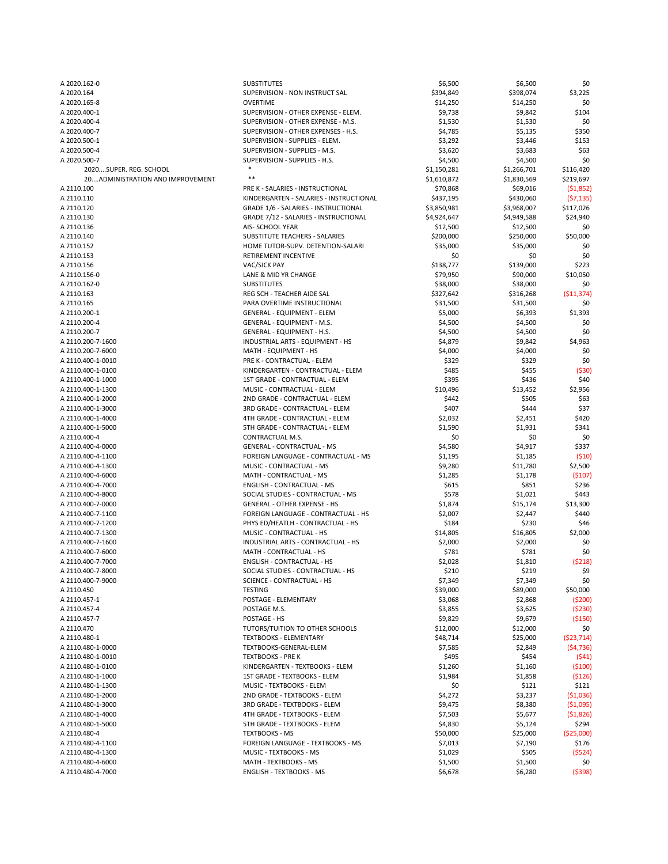| A 2020.162-0                      | <b>SUBSTITUTES</b>                           | \$6,500     | \$6,500     | \$0         |
|-----------------------------------|----------------------------------------------|-------------|-------------|-------------|
| A 2020.164                        | SUPERVISION - NON INSTRUCT SAL               | \$394,849   | \$398,074   | \$3,225     |
| A 2020.165-8                      | <b>OVERTIME</b>                              | \$14,250    | \$14,250    | \$0         |
| A 2020.400-1                      | SUPERVISION - OTHER EXPENSE - ELEM.          | \$9,738     | \$9,842     | \$104       |
| A 2020.400-4                      | SUPERVISION - OTHER EXPENSE - M.S.           | \$1,530     | \$1,530     | \$0         |
| A 2020.400-7                      | SUPERVISION - OTHER EXPENSES - H.S.          | \$4,785     | \$5,135     | \$350       |
| A 2020.500-1                      | SUPERVISION - SUPPLIES - ELEM.               | \$3,292     | \$3,446     | \$153       |
|                                   |                                              |             |             |             |
| A 2020.500-4                      | SUPERVISION - SUPPLIES - M.S.                | \$3,620     | \$3,683     | \$63        |
| A 2020.500-7                      | SUPERVISION - SUPPLIES - H.S.                | \$4,500     | \$4,500     | \$0         |
| 2020SUPER. REG. SCHOOL            |                                              | \$1,150,281 | \$1,266,701 | \$116,420   |
| 20 ADMINISTRATION AND IMPROVEMENT | $***$                                        | \$1,610,872 | \$1,830,569 | \$219,697   |
| A 2110.100                        | PRE K - SALARIES - INSTRUCTIONAL             | \$70,868    | \$69,016    | (51,852)    |
| A 2110.110                        | KINDERGARTEN - SALARIES - INSTRUCTIONAL      | \$437,195   | \$430,060   | (57, 135)   |
| A 2110.120                        | <b>GRADE 1/6 - SALARIES - INSTRUCTIONAL</b>  | \$3,850,981 | \$3,968,007 | \$117,026   |
| A 2110.130                        | <b>GRADE 7/12 - SALARIES - INSTRUCTIONAL</b> | \$4,924,647 | \$4,949,588 | \$24,940    |
| A 2110.136                        | AIS- SCHOOL YEAR                             | \$12,500    | \$12,500    | \$0         |
| A 2110.140                        | <b>SUBSTITUTE TEACHERS - SALARIES</b>        | \$200,000   | \$250,000   | \$50,000    |
| A 2110.152                        | HOME TUTOR-SUPV. DETENTION-SALARI            | \$35,000    | \$35,000    | \$0         |
| A 2110.153                        | RETIREMENT INCENTIVE                         | \$0         | \$0         | \$0         |
| A 2110.156                        | VAC/SICK PAY                                 | \$138,777   | \$139,000   | \$223       |
| A 2110.156-0                      | LANE & MID YR CHANGE                         | \$79,950    | \$90,000    | \$10,050    |
| A 2110.162-0                      | <b>SUBSTITUTES</b>                           | \$38,000    | \$38,000    | \$0         |
|                                   |                                              |             |             |             |
| A 2110.163                        | REG SCH - TEACHER AIDE SAL                   | \$327,642   | \$316,268   | ( \$11,374) |
| A 2110.165                        | PARA OVERTIME INSTRUCTIONAL                  | \$31,500    | \$31,500    | \$0         |
| A 2110.200-1                      | <b>GENERAL - EQUIPMENT - ELEM</b>            | \$5,000     | \$6,393     | \$1,393     |
| A 2110.200-4                      | <b>GENERAL - EQUIPMENT - M.S.</b>            | \$4,500     | \$4,500     | \$0         |
| A 2110.200-7                      | <b>GENERAL - EQUIPMENT - H.S.</b>            | \$4,500     | \$4,500     | \$0         |
| A 2110.200-7-1600                 | INDUSTRIAL ARTS - EQUIPMENT - HS             | \$4,879     | \$9,842     | \$4,963     |
| A 2110.200-7-6000                 | MATH - EQUIPMENT - HS                        | \$4,000     | \$4,000     | \$0         |
| A 2110.400-1-0010                 | PRE K - CONTRACTUAL - ELEM                   | \$329       | \$329       | \$0         |
| A 2110.400-1-0100                 | KINDERGARTEN - CONTRACTUAL - ELEM            | \$485       | \$455       | (530)       |
| A 2110.400-1-1000                 | 1ST GRADE - CONTRACTUAL - ELEM               | \$395       | \$436       | \$40        |
| A 2110.400-1-1300                 | MUSIC - CONTRACTUAL - ELEM                   | \$10,496    | \$13,452    | \$2,956     |
| A 2110.400-1-2000                 | 2ND GRADE - CONTRACTUAL - ELEM               | \$442       | \$505       | \$63        |
| A 2110.400-1-3000                 | 3RD GRADE - CONTRACTUAL - ELEM               | \$407       | \$444       | \$37        |
| A 2110.400-1-4000                 | 4TH GRADE - CONTRACTUAL - ELEM               | \$2,032     | \$2,451     | \$420       |
| A 2110.400-1-5000                 | 5TH GRADE - CONTRACTUAL - ELEM               | \$1,590     | \$1,931     | \$341       |
|                                   |                                              |             |             |             |
| A 2110.400-4                      | CONTRACTUAL M.S.                             | \$0         | \$0         | \$0         |
| A 2110.400-4-0000                 | <b>GENERAL - CONTRACTUAL - MS</b>            | \$4,580     | \$4,917     | \$337       |
| A 2110.400-4-1100                 | FOREIGN LANGUAGE - CONTRACTUAL - MS          | \$1,195     | \$1,185     | (510)       |
| A 2110.400-4-1300                 | MUSIC - CONTRACTUAL - MS                     | \$9,280     | \$11,780    | \$2,500     |
| A 2110.400-4-6000                 | MATH - CONTRACTUAL - MS                      | \$1,285     | \$1,178     | (5107)      |
| A 2110.400-4-7000                 | <b>ENGLISH - CONTRACTUAL - MS</b>            | \$615       | \$851       | \$236       |
| A 2110.400-4-8000                 | SOCIAL STUDIES - CONTRACTUAL - MS            | \$578       | \$1,021     | \$443       |
| A 2110.400-7-0000                 | <b>GENERAL - OTHER EXPENSE - HS</b>          | \$1,874     | \$15,174    | \$13,300    |
| A 2110.400-7-1100                 | FOREIGN LANGUAGE - CONTRACTUAL - HS          | \$2,007     | \$2,447     | \$440       |
| A 2110.400-7-1200                 | PHYS ED/HEATLH - CONTRACTUAL - HS            | \$184       | \$230       | \$46        |
| A 2110.400-7-1300                 | MUSIC - CONTRACTUAL - HS                     | \$14,805    | \$16,805    | \$2,000     |
| A 2110.400-7-1600                 | INDUSTRIAL ARTS - CONTRACTUAL - HS           | \$2,000     | \$2,000     | \$0         |
| A 2110.400-7-6000                 | MATH - CONTRACTUAL - HS                      | \$781       | \$781       | \$0         |
| A 2110.400-7-7000                 | <b>ENGLISH - CONTRACTUAL - HS</b>            | \$2,028     | \$1,810     | (5218)      |
| A 2110.400-7-8000                 | SOCIAL STUDIES - CONTRACTUAL - HS            | \$210       | \$219       |             |
|                                   |                                              |             |             | \$9         |
| A 2110.400-7-9000                 | <b>SCIENCE - CONTRACTUAL - HS</b>            | \$7,349     | \$7,349     | \$0         |
| A 2110.450                        | <b>TESTING</b>                               | \$39,000    | \$89,000    | \$50,000    |
| A 2110.457-1                      | POSTAGE - ELEMENTARY                         | \$3,068     | \$2,868     | (5200)      |
| A 2110.457-4                      | POSTAGE M.S.                                 | \$3,855     | \$3,625     | (5230)      |
| A 2110.457-7                      | POSTAGE - HS                                 | \$9,829     | \$9,679     | (5150)      |
| A 2110.470                        | <b>TUTORS/TUITION TO OTHER SCHOOLS</b>       | \$12,000    | \$12,000    | \$0         |
| A 2110.480-1                      | <b>TEXTBOOKS - ELEMENTARY</b>                | \$48,714    | \$25,000    | (523, 714)  |
| A 2110.480-1-0000                 | TEXTBOOKS-GENERAL-ELEM                       | \$7,585     | \$2,849     | (54, 736)   |
| A 2110.480-1-0010                 | <b>TEXTBOOKS - PRE K</b>                     | \$495       | \$454       | (541)       |
| A 2110.480-1-0100                 | KINDERGARTEN - TEXTBOOKS - ELEM              | \$1,260     | \$1,160     | (5100)      |
| A 2110.480-1-1000                 | 1ST GRADE - TEXTBOOKS - ELEM                 | \$1,984     | \$1,858     | (5126)      |
| A 2110.480-1-1300                 | MUSIC - TEXTBOOKS - ELEM                     | \$0         | \$121       | \$121       |
| A 2110.480-1-2000                 | 2ND GRADE - TEXTBOOKS - ELEM                 |             |             |             |
|                                   |                                              | \$4,272     | \$3,237     | (51,036)    |
| A 2110.480-1-3000                 | 3RD GRADE - TEXTBOOKS - ELEM                 | \$9,475     | \$8,380     | ( \$1,095)  |
| A 2110.480-1-4000                 | 4TH GRADE - TEXTBOOKS - ELEM                 | \$7,503     | \$5,677     | (51,826)    |
| A 2110.480-1-5000                 | 5TH GRADE - TEXTBOOKS - ELEM                 | \$4,830     | \$5,124     | \$294       |
| A 2110.480-4                      | <b>TEXTBOOKS - MS</b>                        | \$50,000    | \$25,000    | ( \$25,000) |
| A 2110.480-4-1100                 | <b>FOREIGN LANGUAGE - TEXTBOOKS - MS</b>     | \$7,013     | \$7,190     | \$176       |
| A 2110.480-4-1300                 | MUSIC - TEXTBOOKS - MS                       | \$1,029     | \$505       | (5524)      |
| A 2110.480-4-6000                 | MATH - TEXTBOOKS - MS                        | \$1,500     | \$1,500     | \$0         |
| A 2110.480-4-7000                 | <b>ENGLISH - TEXTBOOKS - MS</b>              | \$6,678     | \$6,280     | (5398)      |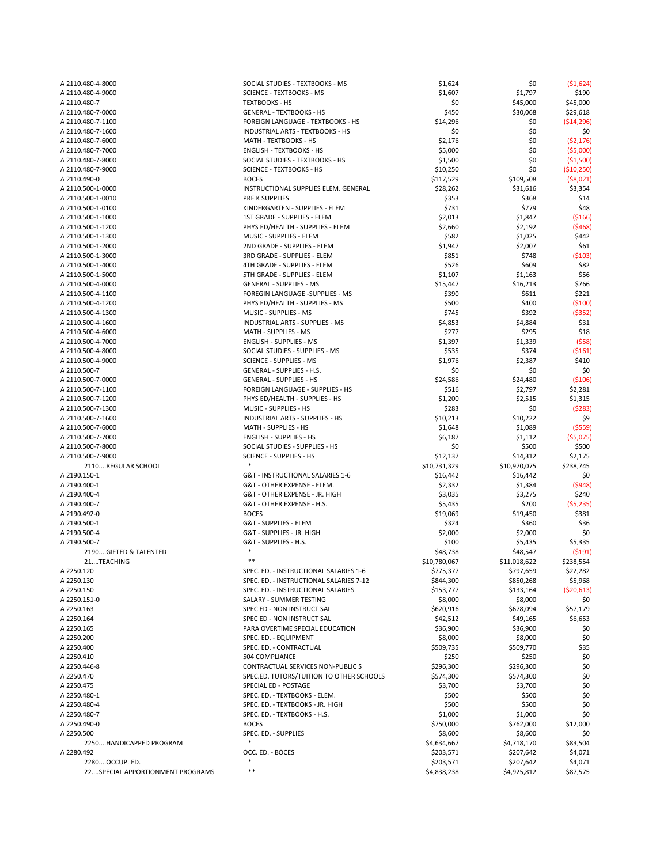| A 2110.480-4-8000                | SOCIAL STUDIES - TEXTBOOKS - MS          | \$1,624      | \$0          | (51, 624)    |
|----------------------------------|------------------------------------------|--------------|--------------|--------------|
| A 2110.480-4-9000                | <b>SCIENCE - TEXTBOOKS - MS</b>          | \$1,607      | \$1,797      | \$190        |
| A 2110.480-7                     | <b>TEXTBOOKS - HS</b>                    | \$0          | \$45,000     | \$45,000     |
| A 2110.480-7-0000                | <b>GENERAL - TEXTBOOKS - HS</b>          | \$450        | \$30,068     | \$29,618     |
| A 2110.480-7-1100                | FOREIGN LANGUAGE - TEXTBOOKS - HS        | \$14,296     | \$0          | ( \$14, 296) |
| A 2110.480-7-1600                | INDUSTRIAL ARTS - TEXTBOOKS - HS         | \$0          | \$0          | \$0          |
| A 2110.480-7-6000                | MATH - TEXTBOOKS - HS                    | \$2,176      | \$0          | (52, 176)    |
| A 2110.480-7-7000                | <b>ENGLISH - TEXTBOOKS - HS</b>          | \$5,000      | \$0          | (55,000)     |
| A 2110.480-7-8000                | SOCIAL STUDIES - TEXTBOOKS - HS          | \$1,500      | \$0          | ( \$1,500)   |
| A 2110.480-7-9000                | <b>SCIENCE - TEXTBOOKS - HS</b>          | \$10,250     | \$0          | ( \$10, 250) |
|                                  | <b>BOCES</b>                             |              |              |              |
| A 2110.490-0                     |                                          | \$117,529    | \$109,508    | ( \$8,021)   |
| A 2110.500-1-0000                | INSTRUCTIONAL SUPPLIES ELEM. GENERAL     | \$28,262     | \$31,616     | \$3,354      |
| A 2110.500-1-0010                | PRE K SUPPLIES                           | \$353        | \$368        | \$14         |
| A 2110.500-1-0100                | KINDERGARTEN - SUPPLIES - ELEM           | \$731        | \$779        | \$48         |
| A 2110.500-1-1000                | 1ST GRADE - SUPPLIES - ELEM              | \$2,013      | \$1,847      | ( \$166)     |
| A 2110.500-1-1200                | PHYS ED/HEALTH - SUPPLIES - ELEM         | \$2,660      | \$2,192      | (5468)       |
| A 2110.500-1-1300                | MUSIC - SUPPLIES - ELEM                  | \$582        | \$1,025      | \$442        |
| A 2110.500-1-2000                | 2ND GRADE - SUPPLIES - ELEM              | \$1,947      | \$2,007      | \$61         |
| A 2110.500-1-3000                | 3RD GRADE - SUPPLIES - ELEM              | \$851        | \$748        | (5103)       |
| A 2110.500-1-4000                | 4TH GRADE - SUPPLIES - ELEM              | \$526        | \$609        | \$82         |
| A 2110.500-1-5000                | 5TH GRADE - SUPPLIES - ELEM              | \$1,107      | \$1,163      | \$56         |
| A 2110.500-4-0000                | <b>GENERAL - SUPPLIES - MS</b>           | \$15,447     | \$16,213     | \$766        |
| A 2110.500-4-1100                | FOREGIN LANGUAGE -SUPPLIES - MS          | \$390        | \$611        | \$221        |
|                                  |                                          |              |              |              |
| A 2110.500-4-1200                | PHYS ED/HEALTH - SUPPLIES - MS           | \$500        | \$400        | (5100)       |
| A 2110.500-4-1300                | MUSIC - SUPPLIES - MS                    | \$745        | \$392        | (5352)       |
| A 2110.500-4-1600                | <b>INDUSTRIAL ARTS - SUPPLIES - MS</b>   | \$4,853      | \$4,884      | \$31         |
| A 2110.500-4-6000                | MATH - SUPPLIES - MS                     | \$277        | \$295        | \$18         |
| A 2110.500-4-7000                | <b>ENGLISH - SUPPLIES - MS</b>           | \$1,397      | \$1,339      | (558)        |
| A 2110.500-4-8000                | SOCIAL STUDIES - SUPPLIES - MS           | \$535        | \$374        | (5161)       |
| A 2110.500-4-9000                | <b>SCIENCE - SUPPLIES - MS</b>           | \$1,976      | \$2,387      | \$410        |
| A 2110.500-7                     | <b>GENERAL - SUPPLIES - H.S.</b>         | \$0          | \$0          | \$0          |
| A 2110.500-7-0000                | <b>GENERAL - SUPPLIES - HS</b>           | \$24,586     | \$24,480     | (5106)       |
| A 2110.500-7-1100                | FOREIGN LANGUAGE - SUPPLIES - HS         | \$516        | \$2,797      | \$2,281      |
| A 2110.500-7-1200                | PHYS ED/HEALTH - SUPPLIES - HS           | \$1,200      | \$2,515      | \$1,315      |
| A 2110.500-7-1300                | MUSIC - SUPPLIES - HS                    | \$283        | \$0          | (5283)       |
| A 2110.500-7-1600                | <b>INDUSTRIAL ARTS - SUPPLIES - HS</b>   | \$10,213     | \$10,222     | \$9          |
|                                  | MATH - SUPPLIES - HS                     |              |              |              |
| A 2110.500-7-6000                |                                          | \$1,648      | \$1,089      | (5559)       |
| A 2110.500-7-7000                | <b>ENGLISH - SUPPLIES - HS</b>           | \$6,187      | \$1,112      | (55,075)     |
| A 2110.500-7-8000                | SOCIAL STUDIES - SUPPLIES - HS           | \$0          | \$500        | \$500        |
| A 2110.500-7-9000                | <b>SCIENCE - SUPPLIES - HS</b>           | \$12,137     | \$14,312     | \$2,175      |
| 2110REGULAR SCHOOL               |                                          | \$10,731,329 | \$10,970,075 | \$238,745    |
| A 2190.150-1                     | G&T - INSTRUCTIONAL SALARIES 1-6         | \$16,442     | \$16,442     | \$0          |
| A 2190.400-1                     | G&T - OTHER EXPENSE - ELEM.              | \$2,332      | \$1,384      | (5948)       |
| A 2190.400-4                     | G&T - OTHER EXPENSE - JR. HIGH           | \$3,035      | \$3,275      | \$240        |
| A 2190.400-7                     | G&T - OTHER EXPENSE - H.S.               | \$5,435      | \$200        | (55, 235)    |
| A 2190.492-0                     | <b>BOCES</b>                             | \$19,069     | \$19,450     | \$381        |
| A 2190.500-1                     | <b>G&amp;T - SUPPLIES - ELEM</b>         | \$324        | \$360        | \$36         |
| A 2190.500-4                     | G&T - SUPPLIES - JR. HIGH                | \$2,000      | \$2,000      | \$0          |
| A 2190.500-7                     | G&T - SUPPLIES - H.S.                    | \$100        | \$5,435      | \$5,335      |
| 2190GIFTED & TALENTED            |                                          | \$48,738     | \$48,547     | (5191)       |
| 21TEACHING                       | $***$                                    |              |              |              |
|                                  |                                          | \$10,780,067 | \$11,018,622 | \$238,554    |
| A 2250.120                       | SPEC. ED. - INSTRUCTIONAL SALARIES 1-6   | \$775,377    | \$797,659    | \$22,282     |
| A 2250.130                       | SPEC. ED. - INSTRUCTIONAL SALARIES 7-12  | \$844,300    | \$850,268    | \$5,968      |
| A 2250.150                       | SPEC. ED. - INSTRUCTIONAL SALARIES       | \$153,777    | \$133,164    | (520, 613)   |
| A 2250.151-0                     | SALARY - SUMMER TESTING                  | \$8,000      | \$8,000      | \$0          |
| A 2250.163                       | SPEC ED - NON INSTRUCT SAL               | \$620,916    | \$678,094    | \$57,179     |
| A 2250.164                       | SPEC ED - NON INSTRUCT SAL               | \$42,512     | \$49,165     | \$6,653      |
| A 2250.165                       | PARA OVERTIME SPECIAL EDUCATION          | \$36,900     | \$36,900     | \$0          |
| A 2250.200                       | SPEC. ED. - EQUIPMENT                    | \$8,000      | \$8,000      | \$0          |
| A 2250.400                       | SPEC. ED. - CONTRACTUAL                  | \$509,735    | \$509,770    | \$35         |
| A 2250.410                       | 504 COMPLIANCE                           | \$250        | \$250        | \$0          |
| A 2250.446-8                     | <b>CONTRACTUAL SERVICES NON-PUBLIC S</b> | \$296,300    | \$296,300    | \$0          |
| A 2250.470                       | SPEC.ED. TUTORS/TUITION TO OTHER SCHOOLS | \$574,300    | \$574,300    | \$0          |
| A 2250.475                       | SPECIAL ED - POSTAGE                     | \$3,700      | \$3,700      | \$0          |
|                                  |                                          |              |              |              |
| A 2250.480-1                     | SPEC. ED. - TEXTBOOKS - ELEM.            | \$500        | \$500        | \$0          |
| A 2250.480-4                     | SPEC. ED. - TEXTBOOKS - JR. HIGH         | \$500        | \$500        | \$0          |
| A 2250.480-7                     | SPEC. ED. - TEXTBOOKS - H.S.             | \$1,000      | \$1,000      | \$0          |
| A 2250.490-0                     | <b>BOCES</b>                             | \$750,000    | \$762,000    | \$12,000     |
| A 2250.500                       | SPEC. ED. - SUPPLIES                     | \$8,600      | \$8,600      | \$0          |
| 2250HANDICAPPED PROGRAM          | $\ast$                                   | \$4,634,667  | \$4,718,170  | \$83,504     |
| A 2280.492                       | OCC. ED. - BOCES                         | \$203,571    | \$207,642    | \$4,071      |
| 2280OCCUP. ED.                   |                                          | \$203,571    | \$207,642    | \$4,071      |
| 22SPECIAL APPORTIONMENT PROGRAMS | $***$                                    | \$4,838,238  | \$4,925,812  | \$87,575     |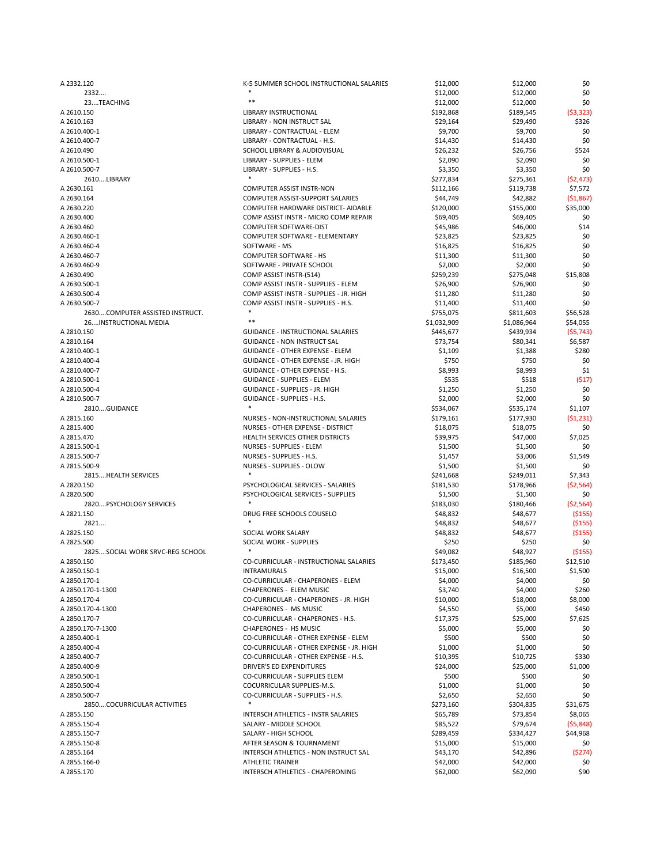| A 2332.120                      | K-5 SUMMER SCHOOL INSTRUCTIONAL SALARIES   | \$12,000    | \$12,000    | \$0        |
|---------------------------------|--------------------------------------------|-------------|-------------|------------|
| 2332                            |                                            | \$12,000    | \$12,000    | \$0        |
| 23TEACHING                      | $***$                                      | \$12,000    | \$12,000    | \$0\$      |
| A 2610.150                      | LIBRARY INSTRUCTIONAL                      | \$192,868   | \$189,545   | (53, 323)  |
| A 2610.163                      | <b>LIBRARY - NON INSTRUCT SAL</b>          | \$29,164    | \$29,490    | \$326      |
|                                 |                                            |             |             |            |
| A 2610.400-1                    | LIBRARY - CONTRACTUAL - ELEM               | \$9,700     | \$9,700     | \$0        |
| A 2610.400-7                    | LIBRARY - CONTRACTUAL - H.S.               | \$14,430    | \$14,430    | \$0        |
| A 2610.490                      | <b>SCHOOL LIBRARY &amp; AUDIOVISUAL</b>    | \$26,232    | \$26,756    | \$524      |
| A 2610.500-1                    | LIBRARY - SUPPLIES - ELEM                  | \$2,090     | \$2,090     | \$0        |
| A 2610.500-7                    | LIBRARY - SUPPLIES - H.S.                  | \$3,350     | \$3,350     | \$0        |
| 2610LIBRARY                     | $\ast$                                     | \$277,834   | \$275,361   | (52, 473)  |
| A 2630.161                      | <b>COMPUTER ASSIST INSTR-NON</b>           | \$112,166   | \$119,738   | \$7,572    |
| A 2630.164                      | <b>COMPUTER ASSIST-SUPPORT SALARIES</b>    | \$44,749    | \$42,882    | ( \$1,867) |
|                                 |                                            |             |             |            |
| A 2630.220                      | COMPUTER HARDWARE DISTRICT- AIDABLE        | \$120,000   | \$155,000   | \$35,000   |
| A 2630.400                      | COMP ASSIST INSTR - MICRO COMP REPAIR      | \$69,405    | \$69,405    | \$0        |
| A 2630.460                      | <b>COMPUTER SOFTWARE-DIST</b>              | \$45,986    | \$46,000    | \$14       |
| A 2630.460-1                    | <b>COMPUTER SOFTWARE - ELEMENTARY</b>      | \$23,825    | \$23,825    | \$0        |
| A 2630.460-4                    | SOFTWARE - MS                              | \$16,825    | \$16,825    | \$0        |
| A 2630.460-7                    | <b>COMPUTER SOFTWARE - HS</b>              | \$11,300    | \$11,300    | \$0        |
| A 2630.460-9                    | SOFTWARE - PRIVATE SCHOOL                  | \$2,000     | \$2,000     | \$0        |
| A 2630.490                      | COMP ASSIST INSTR-(514)                    | \$259,239   | \$275,048   | \$15,808   |
| A 2630.500-1                    | COMP ASSIST INSTR - SUPPLIES - ELEM        | \$26,900    |             |            |
|                                 |                                            |             | \$26,900    | \$0        |
| A 2630.500-4                    | COMP ASSIST INSTR - SUPPLIES - JR. HIGH    | \$11,280    | \$11,280    | \$0        |
| A 2630.500-7                    | COMP ASSIST INSTR - SUPPLIES - H.S.        | \$11,400    | \$11,400    | \$0        |
| 2630COMPUTER ASSISTED INSTRUCT. | $\ast$                                     | \$755,075   | \$811,603   | \$56,528   |
| 26INSTRUCTIONAL MEDIA           | $***$                                      | \$1,032,909 | \$1,086,964 | \$54,055   |
| A 2810.150                      | <b>GUIDANCE - INSTRUCTIONAL SALARIES</b>   | \$445,677   | \$439,934   | (55, 743)  |
| A 2810.164                      | <b>GUIDANCE - NON INSTRUCT SAL</b>         | \$73,754    | \$80,341    | \$6,587    |
| A 2810.400-1                    | <b>GUIDANCE - OTHER EXPENSE - ELEM</b>     | \$1,109     | \$1,388     | \$280      |
| A 2810.400-4                    | <b>GUIDANCE - OTHER EXPENSE - JR. HIGH</b> | \$750       | \$750       | \$0        |
|                                 |                                            |             |             |            |
| A 2810.400-7                    | <b>GUIDANCE - OTHER EXPENSE - H.S.</b>     | \$8,993     | \$8,993     | \$1        |
| A 2810.500-1                    | <b>GUIDANCE - SUPPLIES - ELEM</b>          | \$535       | \$518       | (517)      |
| A 2810.500-4                    | <b>GUIDANCE - SUPPLIES - JR. HIGH</b>      | \$1,250     | \$1,250     | \$0        |
| A 2810.500-7                    | <b>GUIDANCE - SUPPLIES - H.S.</b>          | \$2,000     | \$2,000     | \$0        |
| 2810GUIDANCE                    |                                            | \$534,067   | \$535,174   | \$1,107    |
| A 2815.160                      | NURSES - NON-INSTRUCTIONAL SALARIES        | \$179,161   | \$177,930   | (51, 231)  |
| A 2815.400                      | NURSES - OTHER EXPENSE - DISTRICT          | \$18,075    | \$18,075    | \$0        |
| A 2815.470                      | HEALTH SERVICES OTHER DISTRICTS            | \$39,975    | \$47,000    | \$7,025    |
|                                 |                                            |             |             |            |
| A 2815.500-1                    | <b>NURSES - SUPPLIES - ELEM</b>            | \$1,500     | \$1,500     | \$0        |
| A 2815.500-7                    | NURSES - SUPPLIES - H.S.                   | \$1,457     | \$3,006     | \$1,549    |
| A 2815.500-9                    | <b>NURSES - SUPPLIES - OLOW</b>            | \$1,500     | \$1,500     | \$0        |
| 2815 HEALTH SERVICES            |                                            | \$241,668   | \$249,011   | \$7,343    |
| A 2820.150                      | PSYCHOLOGICAL SERVICES - SALARIES          | \$181,530   | \$178,966   | (52, 564)  |
| A 2820.500                      | PSYCHOLOGICAL SERVICES - SUPPLIES          | \$1,500     | \$1,500     | \$0        |
| 2820PSYCHOLOGY SERVICES         | $\ast$                                     | \$183,030   | \$180,466   | (52, 564)  |
| A 2821.150                      | DRUG FREE SCHOOLS COUSELO                  | \$48,832    | \$48,677    | ( \$155)   |
|                                 |                                            |             |             |            |
| 2821                            |                                            | \$48,832    | \$48,677    | ( \$155)   |
| A 2825.150                      | SOCIAL WORK SALARY                         | \$48,832    | \$48,677    | ( \$155)   |
| A 2825.500                      | <b>SOCIAL WORK - SUPPLIES</b>              | \$250       | \$250       | \$0        |
| 2825SOCIAL WORK SRVC-REG SCHOOL |                                            | \$49,082    | \$48,927    | ( \$155)   |
| A 2850.150                      | CO-CURRICULAR - INSTRUCTIONAL SALARIES     | \$173,450   | \$185,960   | \$12,510   |
| A 2850.150-1                    | <b>INTRAMURALS</b>                         | \$15,000    | \$16,500    | \$1,500    |
| A 2850.170-1                    | CO-CURRICULAR - CHAPERONES - ELEM          | \$4,000     | \$4,000     | \$0        |
| A 2850.170-1-1300               | <b>CHAPERONES - ELEM MUSIC</b>             | \$3,740     | \$4,000     | \$260      |
| A 2850.170-4                    | CO-CURRICULAR - CHAPERONES - JR. HIGH      | \$10,000    | \$18,000    | \$8,000    |
| A 2850.170-4-1300               | <b>CHAPERONES - MS MUSIC</b>               | \$4,550     |             | \$450      |
|                                 |                                            |             | \$5,000     |            |
| A 2850.170-7                    | CO-CURRICULAR - CHAPERONES - H.S.          | \$17,375    | \$25,000    | \$7,625    |
| A 2850.170-7-1300               | <b>CHAPERONES - HS MUSIC</b>               | \$5,000     | \$5,000     | \$0        |
| A 2850.400-1                    | CO-CURRICULAR - OTHER EXPENSE - ELEM       | \$500       | \$500       | \$0        |
| A 2850.400-4                    | CO-CURRICULAR - OTHER EXPENSE - JR. HIGH   | \$1,000     | \$1,000     | \$0        |
| A 2850.400-7                    | CO-CURRICULAR - OTHER EXPENSE - H.S.       | \$10,395    | \$10,725    | \$330      |
| A 2850.400-9                    | <b>DRIVER'S ED EXPENDITURES</b>            | \$24,000    | \$25,000    | \$1,000    |
| A 2850.500-1                    | CO-CURRICULAR - SUPPLIES ELEM              | \$500       | \$500       | \$0        |
| A 2850.500-4                    | COCURRICULAR SUPPLIES-M.S.                 | \$1,000     | \$1,000     | \$0        |
| A 2850.500-7                    | CO-CURRICULAR - SUPPLIES - H.S.            |             |             | \$0        |
|                                 | $\ast$                                     | \$2,650     | \$2,650     |            |
| 2850COCURRICULAR ACTIVITIES     |                                            | \$273,160   | \$304,835   | \$31,675   |
| A 2855.150                      | <b>INTERSCH ATHLETICS - INSTR SALARIES</b> | \$65,789    | \$73,854    | \$8,065    |
| A 2855.150-4                    | SALARY - MIDDLE SCHOOL                     | \$85,522    | \$79,674    | (55,848)   |
| A 2855.150-7                    | SALARY - HIGH SCHOOL                       | \$289,459   | \$334,427   | \$44,968   |
| A 2855.150-8                    | AFTER SEASON & TOURNAMENT                  | \$15,000    | \$15,000    | \$0        |
| A 2855.164                      | INTERSCH ATHLETICS - NON INSTRUCT SAL      | \$43,170    | \$42,896    | (5274)     |
| A 2855.166-0                    | <b>ATHLETIC TRAINER</b>                    | \$42,000    | \$42,000    | \$0        |
| A 2855.170                      | INTERSCH ATHLETICS - CHAPERONING           | \$62,000    | \$62,090    | \$90       |
|                                 |                                            |             |             |            |